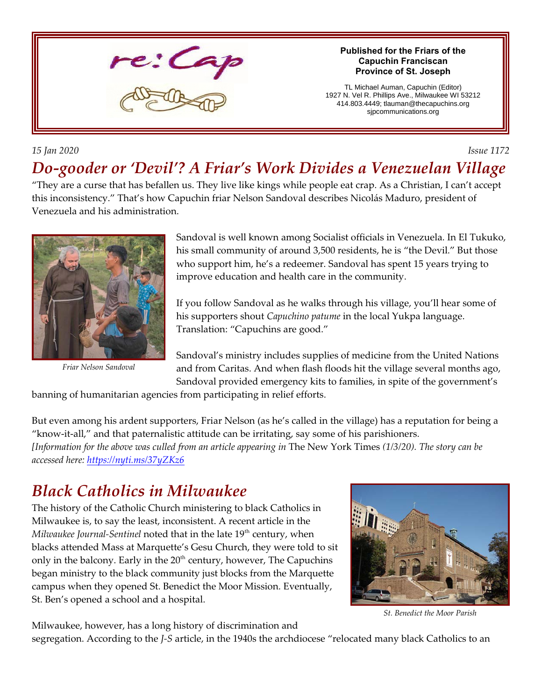

#### *15 Jan 2020 Issue 1172*

# *Do-gooder or 'Devil'? A Friar's Work Divides a Venezuelan Village*

"They are a curse that has befallen us. They live like kings while people eat crap. As a Christian, I can't accept this inconsistency." That's how Capuchin friar Nelson Sandoval describes Nicolás Maduro, president of Venezuela and his administration.



*Friar Nelson Sandoval*

Sandoval is well known among Socialist officials in Venezuela. In El Tukuko, his small community of around 3,500 residents, he is "the Devil." But those who support him, he's a redeemer. Sandoval has spent 15 years trying to improve education and health care in the community.

**Published for the Friars of the Capuchin Franciscan Province of St. Joseph** TL Michael Auman, Capuchin (Editor) 1927 N. Vel R. Phillips Ave., Milwaukee WI 53212 414.803.4449; tlauman@thecapuchins.org sjpcommunications.org

If you follow Sandoval as he walks through his village, you'll hear some of his supporters shout *Capuchino patume* in the local Yukpa language. Translation: "Capuchins are good."

Sandoval's ministry includes supplies of medicine from the United Nations and from Caritas. And when flash floods hit the village several months ago, Sandoval provided emergency kits to families, in spite of the government's

banning of humanitarian agencies from participating in relief efforts.

But even among his ardent supporters, Friar Nelson (as he's called in the village) has a reputation for being a "know-it-all," and that paternalistic attitude can be irritating, say some of his parishioners. *[Information for the above was culled from an article appearing in* The New York Times *(1/3/20). The story can be accessed here:<https://nyti.ms/37yZKz6>*

### *Black Catholics in Milwaukee*

The history of the Catholic Church ministering to black Catholics in Milwaukee is, to say the least, inconsistent. A recent article in the *Milwaukee Journal-Sentinel* noted that in the late 19<sup>th</sup> century, when blacks attended Mass at Marquette's Gesu Church, they were told to sit only in the balcony. Early in the  $20<sup>th</sup>$  century, however, The Capuchins began ministry to the black community just blocks from the Marquette campus when they opened St. Benedict the Moor Mission. Eventually, St. Ben's opened a school and a hospital.



*St. Benedict the Moor Parish*

Milwaukee, however, has a long history of discrimination and

segregation. According to the *J-S* article, in the 1940s the archdiocese "relocated many black Catholics to an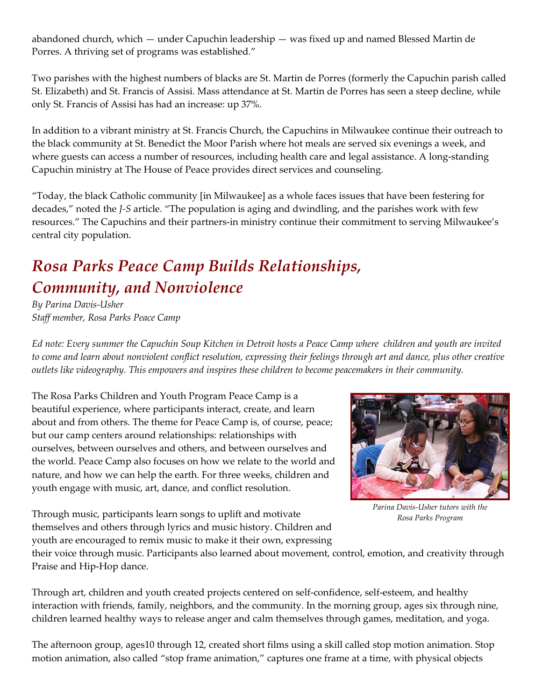abandoned church, which — under Capuchin leadership — was fixed up and named Blessed Martin de Porres. A thriving set of programs was established."

Two parishes with the highest numbers of blacks are St. Martin de Porres (formerly the Capuchin parish called St. Elizabeth) and St. Francis of Assisi. Mass attendance at St. Martin de Porres has seen a steep decline, while only St. Francis of Assisi has had an increase: up 37%.

In addition to a vibrant ministry at St. Francis Church, the Capuchins in Milwaukee continue their outreach to the black community at St. Benedict the Moor Parish where hot meals are served six evenings a week, and where guests can access a number of resources, including health care and legal assistance. A long-standing Capuchin ministry at The House of Peace provides direct services and counseling.

"Today, the black Catholic community [in Milwaukee] as a whole faces issues that have been festering for decades," noted the *J-S* article. "The population is aging and dwindling, and the parishes work with few resources." The Capuchins and their partners-in ministry continue their commitment to serving Milwaukee's central city population.

## *Rosa Parks Peace Camp Builds Relationships, Community, and Nonviolence*

*By Parina Davis-Usher Staff member, Rosa Parks Peace Camp*

*Ed note: Every summer the Capuchin Soup Kitchen in Detroit hosts a Peace Camp where children and youth are invited to come and learn about nonviolent conflict resolution, expressing their feelings through art and dance, plus other creative outlets like videography. This empowers and inspires these children to become peacemakers in their community.*

The Rosa Parks Children and Youth Program Peace Camp is a beautiful experience, where participants interact, create, and learn about and from others. The theme for Peace Camp is, of course, peace; but our camp centers around relationships: relationships with ourselves, between ourselves and others, and between ourselves and the world. Peace Camp also focuses on how we relate to the world and nature, and how we can help the earth. For three weeks, children and youth engage with music, art, dance, and conflict resolution.



*Parina Davis-Usher tutors with the Rosa Parks Program*

Through music, participants learn songs to uplift and motivate themselves and others through lyrics and music history. Children and youth are encouraged to remix music to make it their own, expressing

their voice through music. Participants also learned about movement, control, emotion, and creativity through Praise and Hip-Hop dance.

Through art, children and youth created projects centered on self-confidence, self-esteem, and healthy interaction with friends, family, neighbors, and the community. In the morning group, ages six through nine, children learned healthy ways to release anger and calm themselves through games, meditation, and yoga.

The afternoon group, ages10 through 12, created short films using a skill called stop motion animation. Stop motion animation, also called "stop frame animation," captures one frame at a time, with physical objects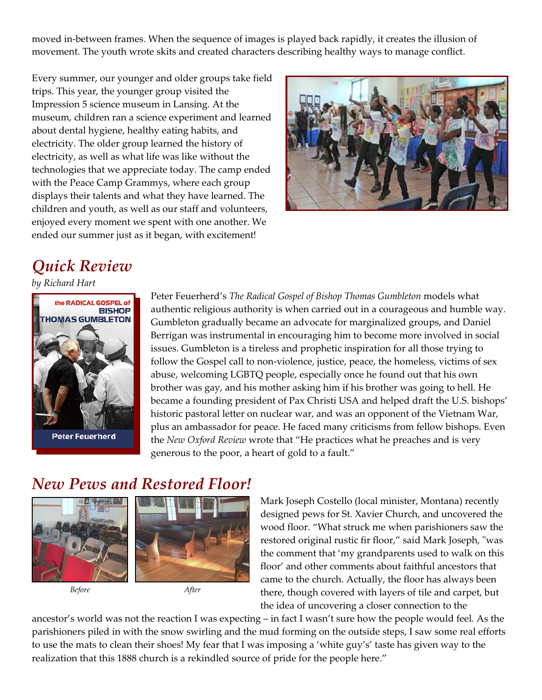moved in-between frames. When the sequence of images is played back rapidly, it creates the illusion of movement. The youth wrote skits and created characters describing healthy ways to manage conflict.

Every summer, our younger and older groups take field trips. This year, the younger group visited the Impression 5 science museum in Lansing. At the museum, children ran a science experiment and learned about dental hygiene, healthy eating habits, and electricity. The older group learned the history of electricity, as well as what life was like without the technologies that we appreciate today. The camp ended with the Peace Camp Grammys, where each group displays their talents and what they have learned. The children and youth, as well as our staff and volunteers, enjoyed every moment we spent with one another. We ended our summer just as it began, with excitement!



## *Quick Review*

*by Richard Hart*



**Peter Feuerherd** 

Peter Feuerherd's *The Radical Gospel of Bishop Thomas Gumbleton* models what authentic religious authority is when carried out in a courageous and humble way. Gumbleton gradually became an advocate for marginalized groups, and Daniel Berrigan was instrumental in encouraging him to become more involved in social issues. Gumbleton is a tireless and prophetic inspiration for all those trying to follow the Gospel call to non-violence, justice, peace, the homeless, victims of sex abuse, welcoming LGBTQ people, especially once he found out that his own brother was gay, and his mother asking him if his brother was going to hell. He became a founding president of Pax Christi USA and helped draft the U.S. bishops' historic pastoral letter on nuclear war, and was an opponent of the Vietnam War, plus an ambassador for peace. He faced many criticisms from fellow bishops. Even the *New Oxford Review* wrote that "He practices what he preaches and is very generous to the poor, a heart of gold to a fault."

### *New Pews and Restored Floor!*



*Before After*



Mark Joseph Costello (local minister, Montana) recently designed pews for St. Xavier Church, and uncovered the wood floor. "What struck me when parishioners saw the restored original rustic fir floor," said Mark Joseph, "was the comment that 'my grandparents used to walk on this floor' and other comments about faithful ancestors that came to the church. Actually, the floor has always been there, though covered with layers of tile and carpet, but the idea of uncovering a closer connection to the

ancestor's world was not the reaction I was expecting – in fact I wasn't sure how the people would feel. As the parishioners piled in with the snow swirling and the mud forming on the outside steps, I saw some real efforts to use the mats to clean their shoes! My fear that I was imposing a 'white guy's' taste has given way to the realization that this 1888 church is a rekindled source of pride for the people here."